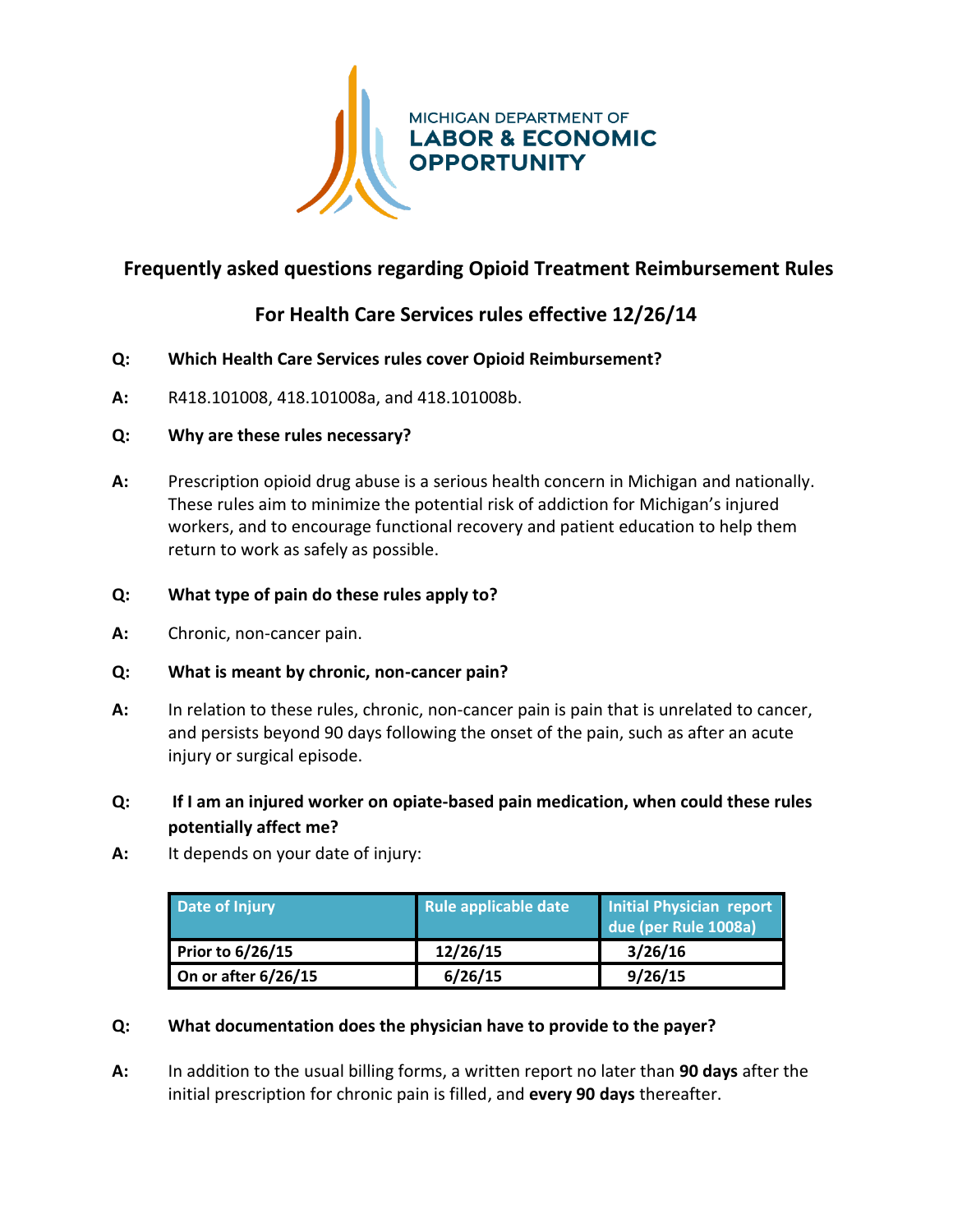

## **Frequently asked questions regarding Opioid Treatment Reimbursement Rules**

# **For Health Care Services rules effective 12/26/14**

- **Q: Which Health Care Services rules cover Opioid Reimbursement?**
- **A:** R418.101008, 418.101008a, and 418.101008b.

#### **Q: Why are these rules necessary?**

**A:** Prescription opioid drug abuse is a serious health concern in Michigan and nationally. These rules aim to minimize the potential risk of addiction for Michigan's injured workers, and to encourage functional recovery and patient education to help them return to work as safely as possible.

### **Q: What type of pain do these rules apply to?**

**A:** Chronic, non-cancer pain.

#### **Q: What is meant by chronic, non-cancer pain?**

**A:** In relation to these rules, chronic, non-cancer pain is pain that is unrelated to cancer, and persists beyond 90 days following the onset of the pain, such as after an acute injury or surgical episode.

## **Q: If I am an injured worker on opiate-based pain medication, when could these rules potentially affect me?**

**A:** It depends on your date of injury:

| Date of Injury          | Rule applicable date | Initial Physician report<br>due (per Rule 1008a) |
|-------------------------|----------------------|--------------------------------------------------|
| <b>Prior to 6/26/15</b> | 12/26/15             | 3/26/16                                          |
| On or after $6/26/15$   | 6/26/15              | 9/26/15                                          |

#### **Q: What documentation does the physician have to provide to the payer?**

**A:** In addition to the usual billing forms, a written report no later than **90 days** after the initial prescription for chronic pain is filled, and **every 90 days** thereafter.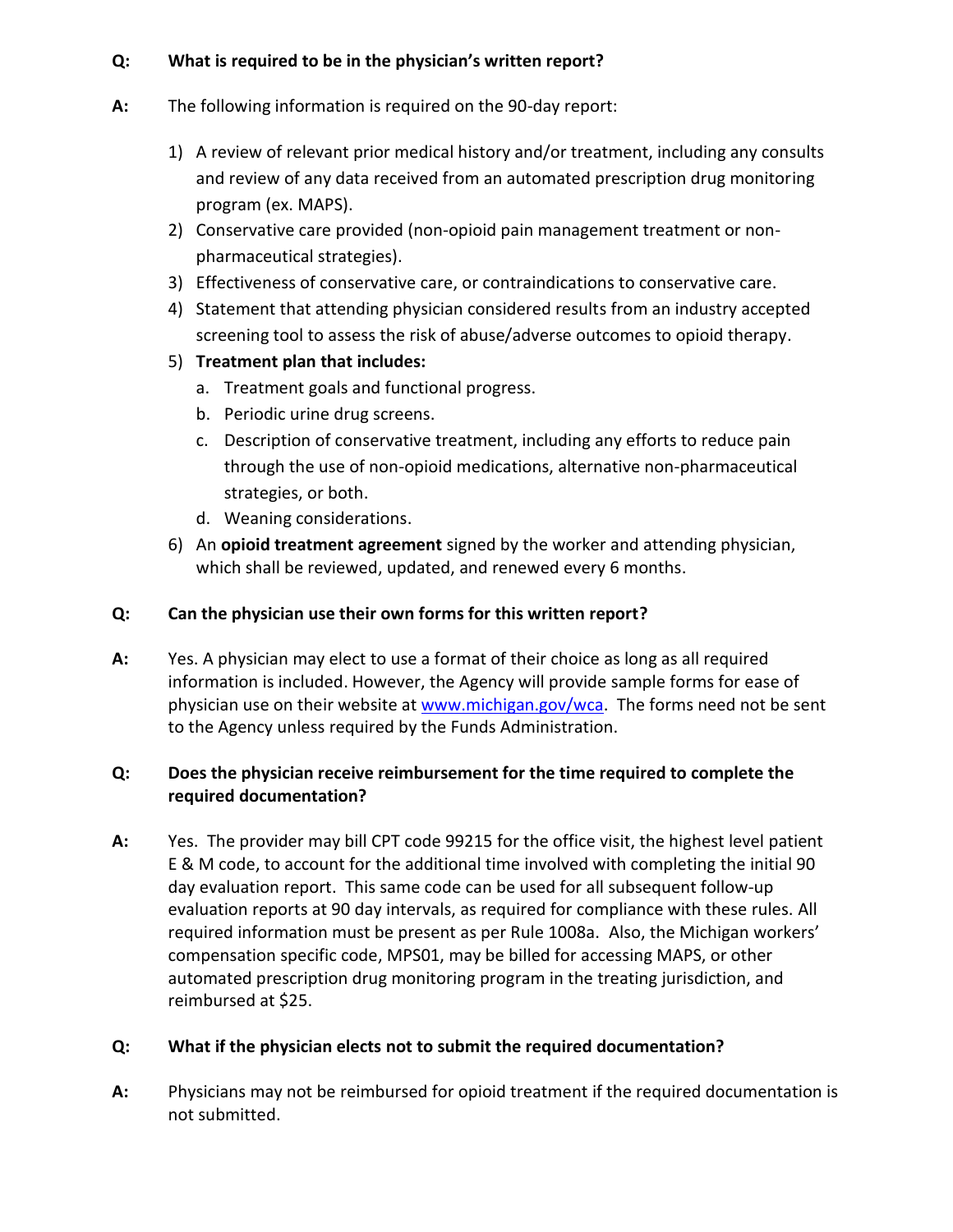#### **Q: What is required to be in the physician's written report?**

- **A:** The following information is required on the 90-day report:
	- 1) A review of relevant prior medical history and/or treatment, including any consults and review of any data received from an automated prescription drug monitoring program (ex. MAPS).
	- 2) Conservative care provided (non-opioid pain management treatment or nonpharmaceutical strategies).
	- 3) Effectiveness of conservative care, or contraindications to conservative care.
	- 4) Statement that attending physician considered results from an industry accepted screening tool to assess the risk of abuse/adverse outcomes to opioid therapy.
	- 5) **Treatment plan that includes:**
		- a. Treatment goals and functional progress.
		- b. Periodic urine drug screens.
		- c. Description of conservative treatment, including any efforts to reduce pain through the use of non-opioid medications, alternative non-pharmaceutical strategies, or both.
		- d. Weaning considerations.
	- 6) An **opioid treatment agreement** signed by the worker and attending physician, which shall be reviewed, updated, and renewed every 6 months.

#### **Q: Can the physician use their own forms for this written report?**

**A:** Yes. A physician may elect to use a format of their choice as long as all required information is included. However, the Agency will provide sample forms for ease of physician use on their website at [www.michigan.gov/wca.](http://www.michigan.gov/wca) The forms need not be sent to the Agency unless required by the Funds Administration.

### **Q: Does the physician receive reimbursement for the time required to complete the required documentation?**

**A:** Yes. The provider may bill CPT code 99215 for the office visit, the highest level patient E & M code, to account for the additional time involved with completing the initial 90 day evaluation report. This same code can be used for all subsequent follow-up evaluation reports at 90 day intervals, as required for compliance with these rules. All required information must be present as per Rule 1008a. Also, the Michigan workers' compensation specific code, MPS01, may be billed for accessing MAPS, or other automated prescription drug monitoring program in the treating jurisdiction, and reimbursed at \$25.

#### **Q: What if the physician elects not to submit the required documentation?**

**A:** Physicians may not be reimbursed for opioid treatment if the required documentation is not submitted.